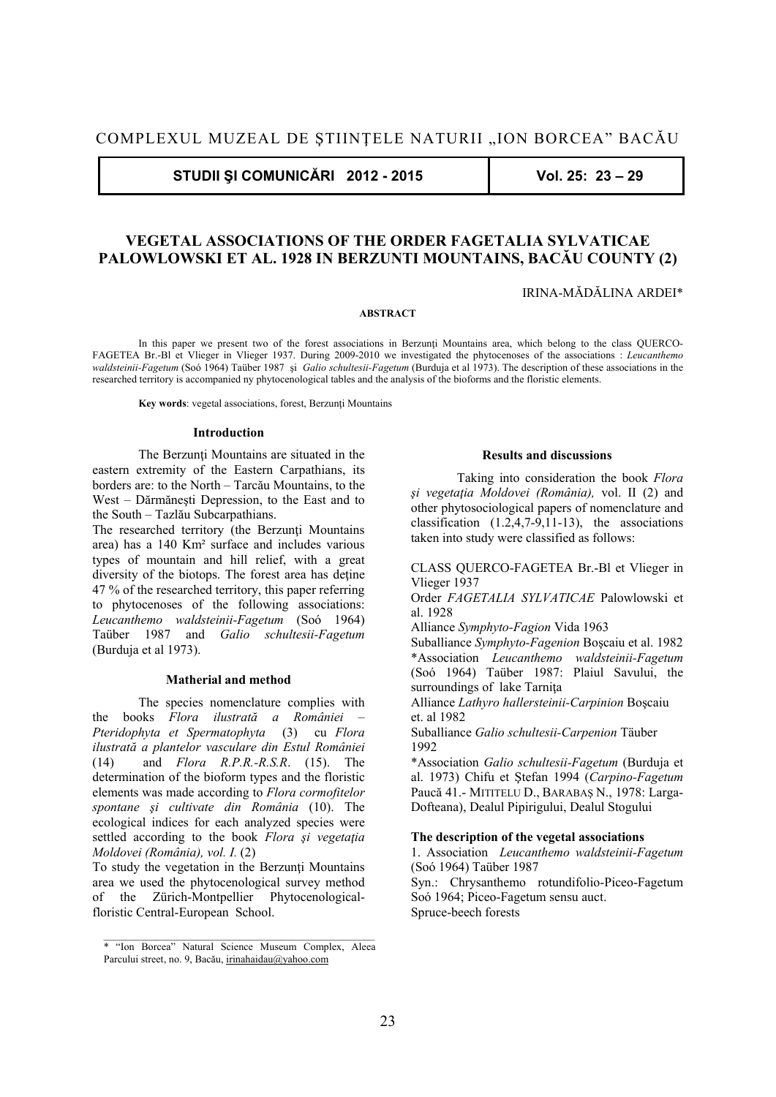**STUDII ŞI COMUNICĂRI 2012 - 2015 Vol. 25: 23 – 29** 

# **VEGETAL ASSOCIATIONS OF THE ORDER FAGETALIA SYLVATICAE PALOWLOWSKI ET AL. 1928 IN BERZUNTI MOUNTAINS, BACĂU COUNTY (2)**

IRINA-MĂDĂLINA ARDEI\*

### **ABSTRACT**

In this paper we present two of the forest associations in Berzunți Mountains area, which belong to the class QUERCO-FAGETEA Br.-Bl et Vlieger in Vlieger 1937. During 2009-2010 we investigated the phytocenoses of the associations : *Leucanthemo waldsteinii-Fagetum* (Soó 1964) Taüber 1987 şi *Galio schultesii-Fagetum* (Burduja et al 1973). The description of these associations in the researched territory is accompanied ny phytocenological tables and the analysis of the bioforms and the floristic elements.

 **Key words**: vegetal associations, forest, Berzunţi Mountains

#### **Introduction**

The Berzunti Mountains are situated in the eastern extremity of the Eastern Carpathians, its borders are: to the North – Tarcău Mountains, to the West – Dărmăneşti Depression, to the East and to the South – Tazlău Subcarpathians.

The researched territory (the Berzunti Mountains area) has a 140 Km² surface and includes various types of mountain and hill relief, with a great diversity of the biotops. The forest area has detine 47 % of the researched territory, this paper referring to phytocenoses of the following associations: *Leucanthemo waldsteinii-Fagetum* (Soó 1964) Taüber 1987 and *Galio schultesii-Fagetum*  (Burduja et al 1973).

# **Matherial and method**

 The species nomenclature complies with the books *Flora ilustrată a României – Pteridophyta et Spermatophyta* (3) cu *Flora ilustrată a plantelor vasculare din Estul României*  (14) and *Flora R.P.R.-R.S.R*. (15). The determination of the bioform types and the floristic elements was made according to *Flora cormofitelor spontane şi cultivate din România* (10). The ecological indices for each analyzed species were settled according to the book *Flora şi vegetaţia Moldovei (România), vol. I.* (2)

To study the vegetation in the Berzunti Mountains area we used the phytocenological survey method of the Zürich-Montpellier Phytocenologicalfloristic Central-European School.

## **Results and discussions**

 Taking into consideration the book *Flora şi vegetaţia Moldovei (România),* vol. II (2) and other phytosociological papers of nomenclature and classification (1.2,4,7-9,11-13), the associations taken into study were classified as follows:

CLASS QUERCO-FAGETEA Br.-Bl et Vlieger in Vlieger 1937

Order *FAGETALIA SYLVATICAE* Palowlowski et al. 1928

Alliance *Symphyto-Fagion* Vida 1963

Suballiance *Symphyto-Fagenion* Boşcaiu et al. 1982 \*Association *Leucanthemo waldsteinii-Fagetum* (Soó 1964) Taüber 1987: Plaiul Savului, the surroundings of lake Tarniţa

Alliance *Lathyro hallersteinii-Carpinion* Boşcaiu et. al 1982

Suballiance *Galio schultesii-Carpenion* Täuber 1992

\*Association *Galio schultesii-Fagetum* (Burduja et al. 1973) Chifu et Ştefan 1994 (*Carpino-Fagetum* Paucă 41.- MITITELU D., BARABAŞ N., 1978: Larga-Dofteana), Dealul Pipirigului, Dealul Stogului

# **The description of the vegetal associations**

1. Association *Leucanthemo waldsteinii-Fagetum* (Soó 1964) Taüber 1987

Syn.: Chrysanthemo rotundifolio-Piceo-Fagetum Soó 1964; Piceo-Fagetum sensu auct. Spruce-beech forests

<sup>\* &</sup>quot;Ion Borcea" Natural Science Museum Complex, Aleea Parcului street, no. 9, Bacău, irinahaidau@yahoo.com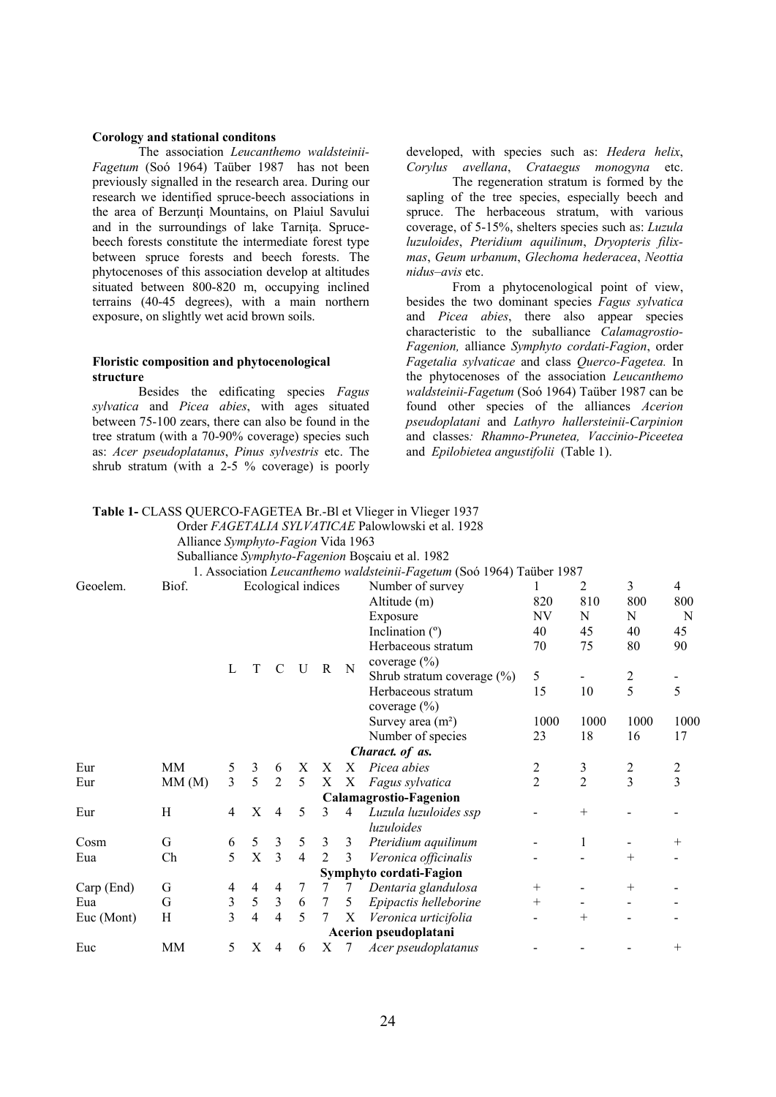# **Corology and stational conditons**

 The association *Leucanthemo waldsteinii-Fagetum* (Soó 1964) Taüber 1987 has not been previously signalled in the research area. During our research we identified spruce-beech associations in the area of Berzunti Mountains, on Plaiul Savului and in the surroundings of lake Tarnita. Sprucebeech forests constitute the intermediate forest type between spruce forests and beech forests. The phytocenoses of this association develop at altitudes situated between 800-820 m, occupying inclined terrains (40-45 degrees), with a main northern exposure, on slightly wet acid brown soils.

# **Floristic composition and phytocenological structure**

 Besides the edificating species *Fagus sylvatica* and *Picea abies*, with ages situated between 75-100 zears, there can also be found in the tree stratum (with a 70-90% coverage) species such as: *Acer pseudoplatanus*, *Pinus sylvestris* etc. The shrub stratum (with a 2-5 % coverage) is poorly

**Table 1-** CLASS QUERCO-FAGETEA Br.-Bl et Vlieger in Vlieger 1937

developed, with species such as: *Hedera helix*, *Corylus avellana*, *Crataegus monogyna* etc.

 The regeneration stratum is formed by the sapling of the tree species, especially beech and spruce. The herbaceous stratum, with various coverage, of 5-15%, shelters species such as: *Luzula luzuloides*, *Pteridium aquilinum*, *Dryopteris filixmas*, *Geum urbanum*, *Glechoma hederacea*, *Neottia nidus–avis* etc.

 From a phytocenological point of view, besides the two dominant species *Fagus sylvatica* and *Picea abies*, there also appear species characteristic to the suballiance *Calamagrostio-Fagenion,* alliance *Symphyto cordati-Fagion*, order *Fagetalia sylvaticae* and class *Querco-Fagetea.* In the phytocenoses of the association *Leucanthemo waldsteinii-Fagetum* (Soó 1964) Taüber 1987 can be found other species of the alliances *Acerion pseudoplatani* and *Lathyro hallersteinii-Carpinion* and classes*: Rhamno-Prunetea, Vaccinio-Piceetea*  and *Epilobietea angustifolii* (Table 1).

|            |                                    |                |                    |                         |                |                |   | Order FAGETALIA SYLVATICAE Palowlowski et al. 1928                    |                |                |                                                                                                                                     |                |
|------------|------------------------------------|----------------|--------------------|-------------------------|----------------|----------------|---|-----------------------------------------------------------------------|----------------|----------------|-------------------------------------------------------------------------------------------------------------------------------------|----------------|
|            | Alliance Symphyto-Fagion Vida 1963 |                |                    |                         |                |                |   |                                                                       |                |                |                                                                                                                                     |                |
|            |                                    |                |                    |                         |                |                |   | Suballiance Symphyto-Fagenion Boșcaiu et al. 1982                     |                |                |                                                                                                                                     |                |
|            |                                    |                |                    |                         |                |                |   | 1. Association Leucanthemo waldsteinii-Fagetum (Soó 1964) Taüber 1987 |                |                |                                                                                                                                     |                |
| Geoelem.   | Biof.                              |                | Ecological indices |                         |                |                |   | Number of survey                                                      |                | 2              | 3                                                                                                                                   | $\overline{4}$ |
|            |                                    |                |                    |                         |                |                |   | Altitude (m)                                                          | 820            | 810            | 800                                                                                                                                 | 800            |
|            |                                    |                |                    |                         |                |                |   | Exposure                                                              | <b>NV</b>      | N              | N                                                                                                                                   | N              |
|            |                                    |                |                    |                         |                |                |   | Inclination $(°)$                                                     | 40             | 45             | 40                                                                                                                                  | 45             |
|            |                                    |                |                    |                         |                |                |   | Herbaceous stratum                                                    | 70             | 75             | 90<br>80<br>$rac{2}{5}$<br>5<br>1000<br>1000<br>16<br>17<br>2<br>2<br>$\overline{3}$<br>3<br>$\hspace{0.1mm} +$<br>$^{+}$<br>$^{+}$ |                |
|            |                                    |                |                    |                         |                |                |   | coverage $(\% )$                                                      |                |                |                                                                                                                                     |                |
|            |                                    | L              | T                  | $\mathcal{C}$           | U              | R              | N | Shrub stratum coverage $(\%)$                                         | 5              |                |                                                                                                                                     |                |
|            |                                    |                |                    |                         |                |                |   | Herbaceous stratum                                                    | 15             | 10             |                                                                                                                                     |                |
|            |                                    |                |                    |                         |                |                |   | coverage $(\% )$                                                      |                |                |                                                                                                                                     |                |
|            |                                    |                |                    |                         |                |                |   | Survey area $(m2)$                                                    | 1000           | 1000           |                                                                                                                                     |                |
|            |                                    |                |                    |                         |                |                |   | Number of species                                                     | 23             | 18             |                                                                                                                                     |                |
|            |                                    |                |                    |                         |                |                |   | Charact. of as.                                                       |                |                |                                                                                                                                     |                |
| Eur        | <b>MM</b>                          | 5              | 3                  | 6                       | X              | X              | X | Picea abies                                                           | 2              | 3              |                                                                                                                                     |                |
| Eur        | MM(M)                              | $\overline{3}$ | 5                  | 2                       | 5              | Χ              | X | Fagus sylvatica                                                       | $\overline{2}$ | $\overline{2}$ |                                                                                                                                     |                |
|            |                                    |                |                    |                         |                |                |   | Calamagrostio-Fagenion                                                |                |                |                                                                                                                                     |                |
| Eur        | H                                  | 4              | X                  | 4                       | 5              | 3              | 4 | Luzula luzuloides ssp                                                 |                | $^{+}$         |                                                                                                                                     |                |
|            |                                    |                |                    |                         |                |                |   | <i>luzuloides</i>                                                     |                |                |                                                                                                                                     |                |
| Cosm       | G                                  | 6              | 5                  | $\mathfrak{Z}$          | 5              | 3              | 3 | Pteridium aquilinum                                                   |                | 1              |                                                                                                                                     |                |
| Eua        | Ch                                 | 5              | X                  | 3                       | $\overline{4}$ | $\overline{c}$ | 3 | Veronica officinalis                                                  |                |                |                                                                                                                                     |                |
|            |                                    |                |                    |                         |                |                |   | Symphyto cordati-Fagion                                               |                |                |                                                                                                                                     |                |
| Carp (End) | G                                  | 4              | 4                  | 4                       | 7              | 7              | 7 | Dentaria glandulosa                                                   | $^{+}$         |                |                                                                                                                                     |                |
| Eua        | G                                  | 3              | $\sqrt{5}$         | $\mathfrak{Z}$          | 6              | $\tau$         | 5 | Epipactis helleborine                                                 | $^{+}$         |                |                                                                                                                                     |                |
| Euc (Mont) | H                                  | 3              | 4                  | $\overline{\mathbf{4}}$ | 5              | 7              | X | Veronica urticifolia                                                  |                | $^+$           |                                                                                                                                     |                |
|            |                                    |                |                    |                         |                |                |   | Acerion pseudoplatani                                                 |                |                |                                                                                                                                     |                |
| Euc        | MM                                 | 5              | X                  | 4                       | 6              | Χ              | 7 | Acer pseudoplatanus                                                   |                |                |                                                                                                                                     | $^{+}$         |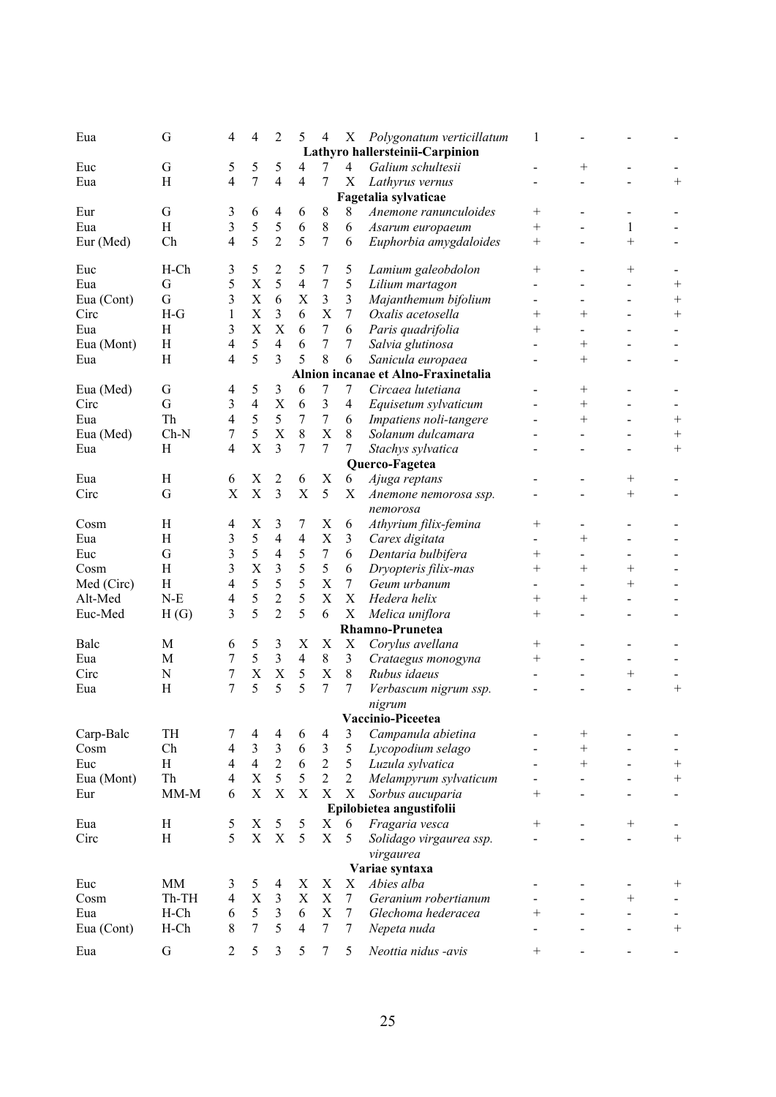| Eua        | G           | 4                       | 4                         | 2                                         | 5                       | 4                | Χ              | Polygonatum verticillatum           | 1                  |                          |        |                    |
|------------|-------------|-------------------------|---------------------------|-------------------------------------------|-------------------------|------------------|----------------|-------------------------------------|--------------------|--------------------------|--------|--------------------|
|            |             |                         |                           |                                           |                         |                  |                | Lathyro hallersteinii-Carpinion     |                    |                          |        |                    |
| Euc        | G           | 5                       | 5                         | 5                                         | 4                       | 7                | $\overline{4}$ | Galium schultesii                   |                    | $^{+}$                   |        |                    |
| Eua        | H           | 4                       | 7                         | $\overline{4}$                            | 4                       | 7                | X              | Lathyrus vernus                     |                    |                          |        | $^+$               |
|            |             |                         |                           |                                           |                         |                  |                | Fagetalia sylvaticae                |                    |                          |        |                    |
| Eur        | G           | 3                       | 6                         | 4                                         | 6                       | 8                | 8              | Anemone ranunculoides               | $^+$               |                          |        |                    |
| Eua        | H           | 3                       | 5                         | 5                                         | 6                       | 8                | 6              | Asarum europaeum                    | $^{+}$             |                          | 1      |                    |
| Eur (Med)  | Ch          | 4                       | 5                         | $\overline{2}$                            | 5                       | 7                | 6              | Euphorbia amygdaloides              | $^{+}$             |                          | $^{+}$ |                    |
|            |             |                         |                           |                                           |                         |                  |                |                                     |                    |                          |        |                    |
| Euc        | $H$ -Ch     | 3                       | 5                         | 2                                         | 5                       | 7                | 5              | Lamium galeobdolon                  | $\hspace{0.1mm} +$ |                          | $^{+}$ |                    |
| Eua        | $\mathbf G$ | 5                       | $\mathbf X$               | 5                                         | $\overline{\mathbf{4}}$ | $\boldsymbol{7}$ | $\mathfrak s$  | Lilium martagon                     |                    |                          |        | $^{+}$             |
| Eua (Cont) | G           | 3                       | $\mathbf X$               | 6                                         | X                       | 3                | $\mathfrak{Z}$ | Majanthemum bifolium                |                    |                          |        | $^+$               |
| Circ       | $H-G$       | 1                       | $\mathbf X$               | 3                                         | 6                       | X                | $\tau$         | Oxalis acetosella                   | $^{+}$             | $^{+}$                   |        | $^{+}$             |
| Eua        | H           | 3                       | X                         | X                                         | 6                       | 7                | 6              | Paris quadrifolia                   | $\hspace{0.1mm} +$ |                          |        |                    |
| Eua (Mont) | H           | 4                       | 5                         | $\overline{4}$                            | 6                       | 7                | 7              | Salvia glutinosa                    |                    | $\hspace{0.1mm} +$       |        |                    |
| Eua        | H           | 4                       | 5                         | 3                                         | 5                       | 8                | 6              | Sanicula europaea                   |                    | $^{+}$                   |        |                    |
|            |             |                         |                           |                                           |                         |                  |                | Alnion incanae et Alno-Fraxinetalia |                    |                          |        |                    |
| Eua (Med)  | $\mathbf G$ | 4                       | 5                         | 3                                         | 6                       | 7                | 7              | Circaea lutetiana                   |                    | $\hspace{0.1mm} +$       |        |                    |
| Circ       | G           | 3                       | $\overline{4}$            | X                                         | 6                       | 3                | $\overline{4}$ | Equisetum sylvaticum                |                    | $^{+}$                   |        |                    |
| Eua        | Th          | 4                       | 5                         | 5                                         | 7                       | 7                | 6              | Impatiens noli-tangere              |                    | $^{+}$                   |        | $\hspace{0.1mm} +$ |
| Eua (Med)  | $Ch-N$      | 7                       | 5                         | X                                         | 8                       | X                | 8              | Solanum dulcamara                   |                    |                          |        | $^+$               |
| Eua        | H           | 4                       | X                         | 3                                         | $\overline{7}$          | 7                | 7              | Stachys sylvatica                   |                    |                          |        | $^{+}$             |
|            |             |                         |                           |                                           |                         |                  |                | Querco-Fagetea                      |                    |                          |        |                    |
| Eua        | H           | 6                       | X                         | 2                                         | 6                       | X                | 6              | Ajuga reptans                       |                    |                          | $^{+}$ |                    |
| Circ       | G           | X                       | $\mathbf X$               | 3                                         | $\mathbf X$             | 5                | X              | Anemone nemorosa ssp.               |                    |                          | $^{+}$ |                    |
|            |             |                         |                           |                                           |                         |                  |                | nemorosa                            |                    |                          |        |                    |
| Cosm       | H           | 4                       | X                         | 3                                         | 7                       | X                | 6              | Athyrium filix-femina               | $^+$               | $\overline{\phantom{0}}$ |        |                    |
| Eua        | H           | 3                       | 5                         | 4                                         | 4                       | X                | 3              | Carex digitata                      |                    | $^{+}$                   |        |                    |
| Euc        | $\mathbf G$ | 3                       | 5                         | $\overline{4}$                            | 5                       | 7                | 6              | Dentaria bulbifera                  | $^{+}$             |                          |        |                    |
| Cosm       | H           | 3                       | X                         | 3                                         | 5                       | 5                | 6              | Dryopteris filix-mas                | $\hspace{0.1mm} +$ | $^{+}$                   | $^{+}$ |                    |
| Med (Circ) | H           | 4                       | 5                         | 5                                         | 5                       | X                | $\tau$         | Geum urbanum                        |                    |                          | $^{+}$ |                    |
| Alt-Med    | $N-E$       | 4                       | 5                         | $\overline{c}$                            | 5                       | X                | X              | Hedera helix                        | $^{+}$             | $\hspace{0.1mm} +$       |        |                    |
| Euc-Med    | H(G)        | 3                       | 5                         | $\overline{2}$                            | 5                       | 6                | X              | Melica uniflora                     | $\hspace{0.1mm} +$ |                          |        |                    |
|            |             |                         |                           |                                           |                         |                  |                | Rhamno-Prunetea                     |                    |                          |        |                    |
| Balc       | M           | 6                       | 5                         | 3                                         | X                       | X                | X              | Corylus avellana                    | $^{+}$             |                          |        |                    |
| Eua        | M           | 7                       | 5                         | 3                                         | $\overline{4}$          | 8                | 3              | Crataegus monogyna                  |                    |                          |        |                    |
| Circ       | N           | 7                       | X                         | $\mathbf X$                               | 5                       | X                | $\,$ 8 $\,$    | Rubus idaeus                        | $^+$               |                          | $^{+}$ |                    |
|            | H           | 7                       | 5                         | 5                                         | 5                       | 7                | 7              |                                     |                    |                          |        |                    |
| Eua        |             |                         |                           |                                           |                         |                  |                | Verbascum nigrum ssp.               |                    |                          |        | $\hspace{0.1mm} +$ |
|            |             |                         |                           |                                           |                         |                  |                | nigrum                              |                    |                          |        |                    |
|            |             |                         |                           |                                           |                         |                  |                | Vaccinio-Piceetea                   |                    |                          |        |                    |
| Carp-Balc  | TH          | 7                       | 4                         | 4                                         | 6                       | $\overline{4}$   | 3              | Campanula abietina                  |                    | $^+$                     |        |                    |
| Cosm       | Ch          | $\overline{4}$          | $\mathfrak{Z}$            | $\overline{\mathbf{3}}$<br>$\overline{2}$ | 6                       | $\mathfrak{Z}$   | 5              | Lycopodium selago                   |                    | $^{+}$                   |        |                    |
| Euc        | H           | $\overline{4}$          | $\overline{4}$            |                                           | 6                       | $\sqrt{2}$       | 5              | Luzula sylvatica                    |                    | $^{+}$                   |        | $\overline{+}$     |
| Eua (Mont) | Th          | $\overline{4}$          | $\boldsymbol{\mathrm{X}}$ | 5                                         | 5                       | $\overline{2}$   | $\overline{2}$ | Melampyrum sylvaticum               |                    |                          |        | $^{+}$             |
| Eur        | $MM-M$      | 6                       | $\mathbf X$               | $\mathbf X$                               | $\mathbf X$             | $\mathbf X$      | $\mathbf X$    | Sorbus aucuparia                    | $^{+}$             |                          |        |                    |
|            |             |                         |                           |                                           |                         |                  |                | Epilobietea angustifolii            |                    |                          |        |                    |
| Eua        | H           | 5                       | X                         | 5                                         | 5                       | X                | 6              | Fragaria vesca                      | $^{+}$             |                          | $^{+}$ |                    |
| Circ       | $\rm H$     | 5                       | $\mathbf X$               | $\mathbf X$                               | 5                       | $\mathbf X$      | 5              | Solidago virgaurea ssp.             |                    |                          |        |                    |
|            |             |                         |                           |                                           |                         |                  |                | virgaurea                           |                    |                          |        |                    |
|            |             |                         |                           |                                           |                         |                  |                | Variae syntaxa                      |                    |                          |        |                    |
| Euc        | <b>MM</b>   | 3                       | 5                         | 4                                         | X                       | X                | X              | Abies alba                          |                    |                          |        | $^+$               |
| Cosm       | Th-TH       | $\overline{\mathbf{4}}$ | $\mathbf X$               | 3                                         | X                       | X                | $\tau$         | Geranium robertianum                |                    |                          | $^{+}$ |                    |
| Eua        | $H$ -Ch     | 6                       | $\mathfrak{S}$            | $\mathfrak{Z}$                            | 6                       | X                | $\tau$         | Glechoma hederacea                  | $^{+}$             |                          |        |                    |
| Eua (Cont) | $H$ -Ch     | 8                       | $\overline{7}$            | 5                                         | $\overline{4}$          | $\overline{7}$   | $\tau$         | Nepeta nuda                         |                    |                          |        | $^{+}$             |
| Eua        | G           | $\overline{c}$          | 5                         | 3                                         | 5                       | 7                | 5              | Neottia nidus -avis                 | $^{+}$             |                          |        |                    |
|            |             |                         |                           |                                           |                         |                  |                |                                     |                    |                          |        |                    |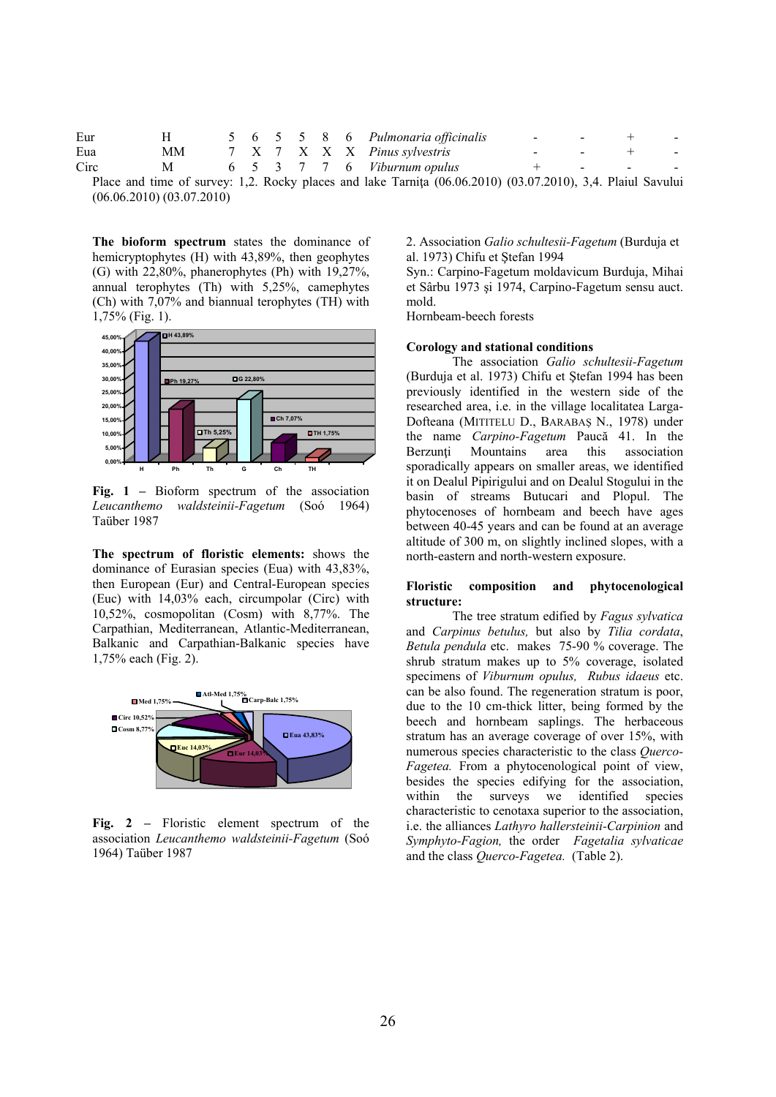| Eur  |                |  |  |  | 5 6 5 5 8 6 Pulmonaria officinalis                                                                         |  |  |
|------|----------------|--|--|--|------------------------------------------------------------------------------------------------------------|--|--|
| Eua  | MМ             |  |  |  | 7 X 7 X X X Pinus sylvestris                                                                               |  |  |
| Circ | M <sub>a</sub> |  |  |  | 6 5 3 7 7 6 Viburnum opulus                                                                                |  |  |
|      |                |  |  |  | Place and time of survey: 1.2. Rocky places and lake Tarnita (06.06.2010) (03.07.2010) 3.4. Plaiul Savului |  |  |

Place and time of survey: 1,2. Rocky places and lake Tarnița (06.06.2010) (03.07.2010), 3,4. Plaiul Savului (06.06.2010) (03.07.2010)

**The bioform spectrum** states the dominance of hemicryptophytes (H) with 43,89%, then geophytes (G) with 22,80%, phanerophytes (Ph) with 19,27%, annual terophytes (Th) with 5,25%, camephytes (Ch) with 7,07% and biannual terophytes (TH) with 1,75% (Fig. 1).



**Fig. 1 –** Bioform spectrum of the association *Leucanthemo waldsteinii-Fagetum* (Soó 1964) Taüber 1987

**The spectrum of floristic elements:** shows the dominance of Eurasian species (Eua) with 43,83%, then European (Eur) and Central-European species (Euc) with 14,03% each, circumpolar (Circ) with 10,52%, cosmopolitan (Cosm) with 8,77%. The Carpathian, Mediterranean, Atlantic-Mediterranean, Balkanic and Carpathian-Balkanic species have 1,75% each (Fig. 2).



Fig. 2 – Floristic element spectrum of the association *Leucanthemo waldsteinii-Fagetum* (Soó 1964) Taüber 1987

2. Association *Galio schultesii-Fagetum* (Burduja et al. 1973) Chifu et Ştefan 1994

Syn.: Carpino-Fagetum moldavicum Burduja, Mihai et Sârbu 1973 şi 1974, Carpino-Fagetum sensu auct. mold.

Hornbeam-beech forests

### **Corology and stational conditions**

 The association *Galio schultesii-Fagetum*  (Burduja et al. 1973) Chifu et Ştefan 1994 has been previously identified in the western side of the researched area, i.e. in the village localitatea Larga-Dofteana (MITITELU D., BARABAŞ N., 1978) under the name *Carpino-Fagetum* Paucă 41. In the Berzunți Mountains area this association sporadically appears on smaller areas, we identified it on Dealul Pipirigului and on Dealul Stogului in the basin of streams Butucari and Plopul. The phytocenoses of hornbeam and beech have ages between 40-45 years and can be found at an average altitude of 300 m, on slightly inclined slopes, with a north-eastern and north-western exposure.

# **Floristic composition and phytocenological structure:**

 The tree stratum edified by *Fagus sylvatica*  and *Carpinus betulus,* but also by *Tilia cordata*, *Betula pendula* etc. makes 75-90 % coverage. The shrub stratum makes up to 5% coverage, isolated specimens of *Viburnum opulus, Rubus idaeus* etc. can be also found. The regeneration stratum is poor, due to the 10 cm-thick litter, being formed by the beech and hornbeam saplings. The herbaceous stratum has an average coverage of over 15%, with numerous species characteristic to the class *Querco-Fagetea.* From a phytocenological point of view, besides the species edifying for the association, within the surveys we identified species characteristic to cenotaxa superior to the association, i.e. the alliances *Lathyro hallersteinii-Carpinion* and *Symphyto-Fagion,* the order *Fagetalia sylvaticae*  and the class *Querco-Fagetea.* (Table 2).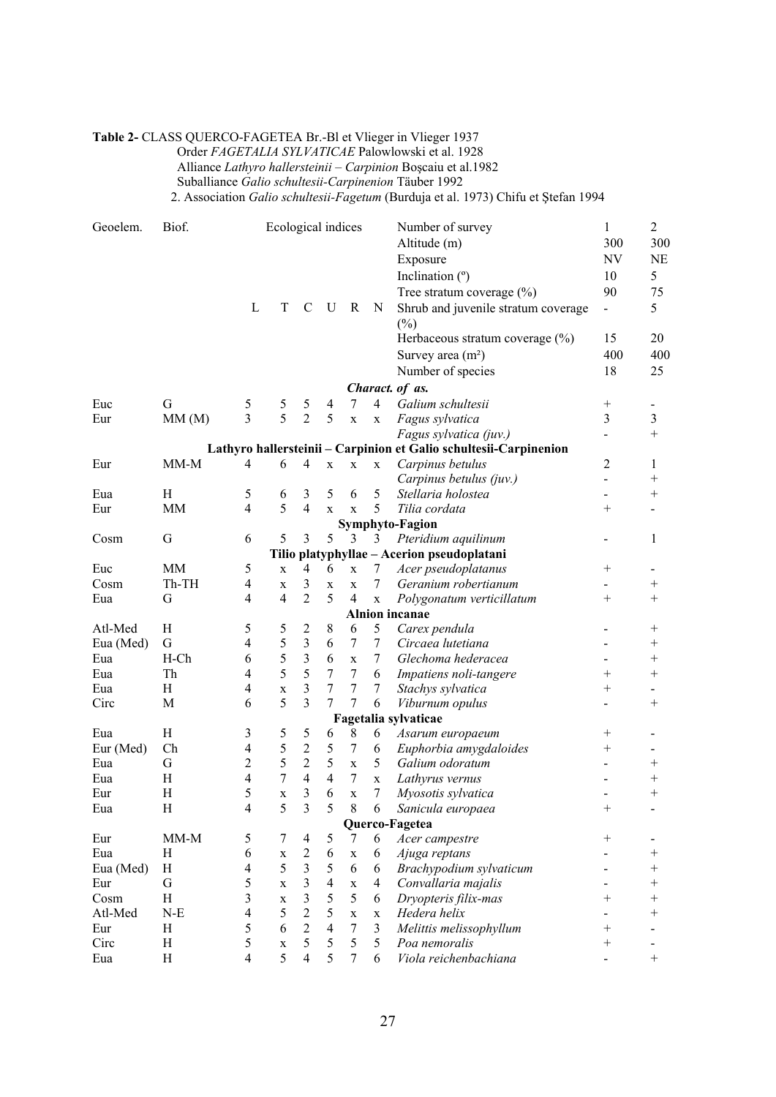# **Table 2-** CLASS QUERCO-FAGETEA Br.-Bl et Vlieger in Vlieger 1937

Order *FAGETALIA SYLVATICAE* Palowlowski et al. 1928

Alliance *Lathyro hallersteinii – Carpinion* Boşcaiu et al.1982

Suballiance *Galio schultesii-Carpinenion* Täuber 1992

2. Association *Galio schultesii-Fagetum* (Burduja et al. 1973) Chifu et Ştefan 1994

| Geoelem.    | Biof.     |                          | Ecological indices |                         |                         |                       |                | Number of survey                                                  | $\mathbf{1}$             | $\overline{2}$    |
|-------------|-----------|--------------------------|--------------------|-------------------------|-------------------------|-----------------------|----------------|-------------------------------------------------------------------|--------------------------|-------------------|
|             |           |                          |                    |                         |                         |                       |                | Altitude (m)                                                      | 300                      | 300               |
|             |           |                          |                    |                         |                         |                       |                | Exposure                                                          | $\ensuremath{\text{NV}}$ | NE                |
|             |           |                          |                    |                         |                         |                       |                | Inclination (°)                                                   | 10                       | 5                 |
|             |           |                          |                    |                         |                         |                       |                | Tree stratum coverage $(\%)$                                      | 90                       | 75                |
|             |           | L                        | T                  | C                       | U                       | R                     | N              | Shrub and juvenile stratum coverage                               | $\overline{\phantom{0}}$ | 5                 |
|             |           |                          |                    |                         |                         |                       |                | $(\%)$                                                            |                          |                   |
|             |           |                          |                    |                         |                         |                       |                | Herbaceous stratum coverage $(\%)$                                | 15                       | 20                |
|             |           |                          |                    |                         |                         |                       |                | Survey area $(m2)$                                                | 400                      | 400               |
|             |           |                          |                    |                         |                         |                       |                | Number of species                                                 | 18                       | 25                |
|             |           |                          |                    |                         |                         |                       |                | Charact. of as.                                                   |                          |                   |
| Euc         | G         | 5                        | 5                  | 5                       | 4                       | 7                     | $\overline{4}$ | Galium schultesii                                                 |                          | -                 |
| Eur         | MM(M)     | 3                        | 5                  | $\overline{c}$          | 5                       | $\mathbf X$           | X              | Fagus sylvatica                                                   | 3                        | 3                 |
|             |           |                          |                    |                         |                         |                       |                | Fagus sylvatica (juv.)                                            |                          | $^{+}$            |
|             |           |                          |                    |                         |                         |                       |                | Lathyro hallersteinii - Carpinion et Galio schultesii-Carpinenion |                          |                   |
| Eur         | MM-M      | 4                        | 6                  | 4                       | $\mathbf X$             | $\mathbf X$           | X              | Carpinus betulus                                                  | 2                        | 1                 |
|             |           |                          |                    |                         |                         |                       |                | Carpinus betulus (juv.)                                           | $\overline{\phantom{0}}$ | $\qquad \qquad +$ |
| Eua         | Η         | 5                        | 6                  | 3                       | 5                       | 6                     | 5              | Stellaria holostea                                                | $\overline{\phantom{0}}$ | $^{+}$            |
| Eur         | MM        | $\overline{\mathcal{L}}$ | 5                  | $\overline{4}$          | $\mathbf X$             | $\mathbf x$           | 5              | Tilia cordata                                                     | $^{+}$                   |                   |
|             |           |                          |                    |                         |                         |                       |                | Symphyto-Fagion                                                   |                          |                   |
| Cosm        | G         | 6                        | 5                  | 3                       | 5                       | 3                     | 3              | Pteridium aquilinum                                               |                          | 1                 |
|             |           |                          |                    |                         |                         |                       |                | Tilio platyphyllae - Acerion pseudoplatani                        |                          |                   |
| Euc         | MM        | 5                        | $\mathbf{X}$       | $\overline{\mathbf{4}}$ | 6                       | $\mathbf X$           | 7              | Acer pseudoplatanus                                               | $^+$                     |                   |
| Cosm        | Th-TH     | $\overline{\mathcal{A}}$ | X                  | 3                       | $\mathbf{X}$            | $\mathbf{X}$          | 7              | Geranium robertianum                                              |                          | $^+$              |
| Eua         | G         | 4                        | $\overline{4}$     | $\overline{2}$          | 5                       | 4                     | X              | Polygonatum verticillatum                                         | $^{+}$                   | $^+$              |
|             |           |                          |                    |                         |                         |                       |                | <b>Alnion</b> incanae                                             |                          |                   |
| Atl-Med     | Η         | 5                        | 5                  | 2                       | 8                       | 6                     | 5              | Carex pendula                                                     |                          | $^+$              |
| Eua (Med)   | G         | 4                        | 5                  | 3                       | 6                       | 7                     | 7              | Circaea lutetiana                                                 |                          | $^{+}$            |
| Eua         | $H$ -Ch   | 6                        | 5                  | 3                       | 6                       | $\mathbf X$           | 7              | Glechoma hederacea                                                |                          | $\qquad \qquad +$ |
| Eua         | Th        | $\overline{\mathbf{4}}$  | 5                  | 5                       | 7                       | 7                     | 6              | Impatiens noli-tangere                                            | $^+$                     | $^{+}$            |
| Eua         | H         | 4                        | $\mathbf X$        | 3                       | 7                       | 7                     | 7              | Stachys sylvatica                                                 | $^{+}$                   | -                 |
| Circ        | M         | 6                        | 5                  | 3                       | 7                       | 7                     | 6              | Viburnum opulus                                                   |                          | $^{+}$            |
|             |           |                          |                    |                         |                         |                       |                | Fagetalia sylvaticae                                              |                          |                   |
| Eua         | H         | 3                        | 5                  | 5                       | 6                       | 8                     | 6              | Asarum europaeum                                                  | $^+$                     |                   |
| Eur (Med)   | Ch        | 4                        | 5                  | $\overline{2}$          | 5                       | $\boldsymbol{7}$      | 6              | Euphorbia amygdaloides                                            | $^+$                     |                   |
| Eua         | G         | $\overline{c}$           | 5                  | $\overline{c}$          | 5                       | X                     | 5              | Galium odoratum                                                   |                          | $^+$              |
| Eua         | Η         | 4                        | 7                  | 4                       | $\overline{4}$          | 7                     | $\mathbf X$    | Lathyrus vernus                                                   |                          | $^+$              |
| Eur         | Η         | 5                        | $\mathbf X$        | 3                       | 6                       | X                     | 7              | Myosotis sylvatica                                                |                          | $^+$              |
| Eua         | Η         | 4                        | 5                  | 3                       | 5                       | 8                     | 6              | Sanicula europaea                                                 | $^+$                     |                   |
|             |           |                          |                    |                         |                         |                       |                | Querco-Fagetea                                                    |                          |                   |
| Eur         | $MM-M$    | 5                        | 7                  | $\overline{\mathbf{4}}$ | 5                       | 7                     | 6              | Acer campestre                                                    | $^+$                     |                   |
| Eua         | H         | 6                        | $\mathbf X$        | $\overline{c}$          | 6                       | $\mathbf X$           | 6              | Ajuga reptans                                                     |                          | $^+$              |
| Eua (Med)   | Η         | 4                        | 5                  | 3                       | 5                       | 6                     | 6              | Brachypodium sylvaticum                                           |                          | $^+$              |
| Eur         | G         | 5                        | X                  | 3                       | $\overline{\mathbf{4}}$ | $\mathbf X$           | 4              | Convallaria majalis                                               |                          | $\overline{+}$    |
| Cosm        | H         | 3                        | X<br>5             | 3<br>$\overline{c}$     | 5                       | 5                     | 6              | Dryopteris filix-mas                                              | $^{+}$                   | $^{+}$            |
| Atl-Med     | $N-E$     | 4                        |                    | $\overline{2}$          | 5<br>$\overline{4}$     | $\mathbf X$<br>$\tau$ | X<br>3         | Hedera helix                                                      |                          | $^{+}$            |
| Eur<br>Circ | H<br>H    | 5                        | 6                  | 5                       | 5                       | 5                     |                | Melittis melissophyllum<br>Poa nemoralis                          | $\overline{+}$<br>$^+$   |                   |
|             | $H_{\rm}$ | 5                        | X<br>5             | $\overline{4}$          | 5                       | 7                     | 5<br>6         | Viola reichenbachiana                                             |                          | $^{+}$            |
| Eua         |           | 4                        |                    |                         |                         |                       |                |                                                                   |                          |                   |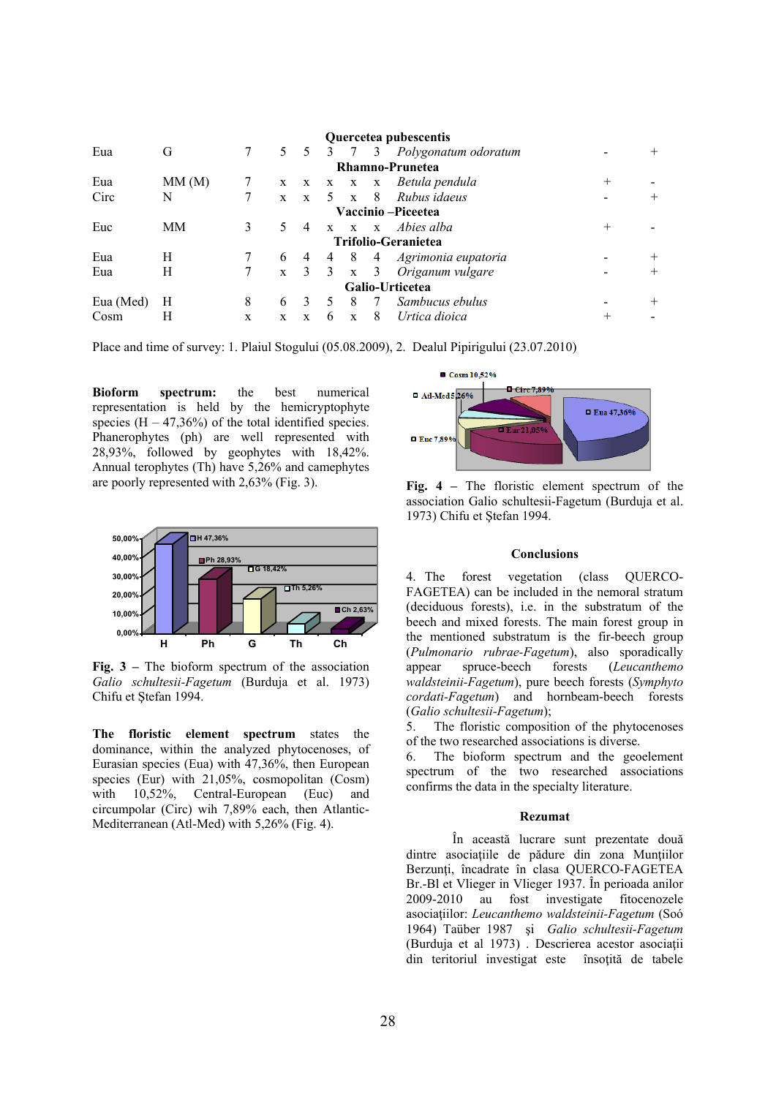|                    |       |   |   |                |                |                 |                         | Quercetea pubescentis      |        |        |
|--------------------|-------|---|---|----------------|----------------|-----------------|-------------------------|----------------------------|--------|--------|
| Eua                | G     |   |   | $5\quad 5$     | -3             | $\overline{7}$  | 3                       | Polygonatum odoratum       |        | $^{+}$ |
|                    |       |   |   |                |                |                 |                         | Rhamno-Prunetea            |        |        |
| Eua                | MM(M) |   |   |                |                | $X$ $X$ $X$ $X$ | $\mathbf{X}$            | Betula pendula             | $^{+}$ |        |
| Circ               | N     |   |   | $X \t X$       |                | $5 \times$      | 8 <sup>8</sup>          | Rubus idaeus               |        | $+$    |
| Vaccinio -Piceetea |       |   |   |                |                |                 |                         |                            |        |        |
| Euc                | MM    | 3 |   | $\overline{4}$ |                |                 |                         | x x x Abies alba           | $^{+}$ |        |
|                    |       |   |   |                |                |                 |                         | <b>Trifolio-Geranietea</b> |        |        |
| Eua                | H     |   | 6 | 4              | 4              | 8               | 4                       | Agrimonia eupatoria        |        | $^+$   |
| Eua                | Н     |   |   | $x \quad 3$    | $\overline{3}$ | $\mathbf{X}$    | $\overline{\mathbf{3}}$ | Origanum vulgare           |        | $^{+}$ |
|                    |       |   |   |                |                |                 |                         | Galio-Urticetea            |        |        |
| Eua (Med)          | Н     | 8 | 6 | 3              |                | 8               | - 7                     | Sambucus ebulus            |        | $^{+}$ |
| Cosm               | Н     | X | X | X              | 6              | $\mathbf{x}$    | 8                       | Urtica dioica              | $^+$   |        |

Place and time of survey: 1. Plaiul Stogului (05.08.2009), 2. Dealul Pipirigului (23.07.2010)

**Bioform spectrum:** the best numerical representation is held by the hemicryptophyte species  $(H - 47,36%)$  of the total identified species. Phanerophytes (ph) are well represented with 28,93%, followed by geophytes with 18,42%. Annual terophytes (Th) have 5,26% and camephytes are poorly represented with 2,63% (Fig. 3).



**Fig. 3 –** The bioform spectrum of the association *Galio schultesii-Fagetum* (Burduja et al. 1973) Chifu et Ştefan 1994.

**The floristic element spectrum** states the dominance, within the analyzed phytocenoses, of Eurasian species (Eua) with 47,36%, then European species (Eur) with 21,05%, cosmopolitan (Cosm) with 10,52%, Central-European (Euc) and circumpolar (Circ) wih 7,89% each, then Atlantic-Mediterranean (Atl-Med) with 5,26% (Fig. 4).



 **Fig. 4 –** The floristic element spectrum of the association Galio schultesii-Fagetum (Burduja et al. 1973) Chifu et Ştefan 1994.

### **Conclusions**

4. The forest vegetation (class QUERCO-FAGETEA) can be included in the nemoral stratum (deciduous forests), i.e. in the substratum of the beech and mixed forests. The main forest group in the mentioned substratum is the fir-beech group (*Pulmonario rubrae-Fagetum*), also sporadically appear spruce-beech forests (*Leucanthemo waldsteinii-Fagetum*), pure beech forests (*Symphyto cordati-Fagetum*) and hornbeam-beech forests (*Galio schultesii-Fagetum*);

5. The floristic composition of the phytocenoses of the two researched associations is diverse.

6. The bioform spectrum and the geoelement spectrum of the two researched associations confirms the data in the specialty literature.

### **Rezumat**

 În această lucrare sunt prezentate două dintre asociaţiile de pădure din zona Munţiilor Berzunți, încadrate în clasa QUERCO-FAGETEA Br.-Bl et Vlieger in Vlieger 1937. În perioada anilor 2009-2010 au fost investigate fitocenozele asociaţiilor: *Leucanthemo waldsteinii-Fagetum* (Soó 1964) Taüber 1987 şi *Galio schultesii-Fagetum*  (Burduja et al 1973) . Descrierea acestor asociaţii din teritoriul investigat este însoţită de tabele